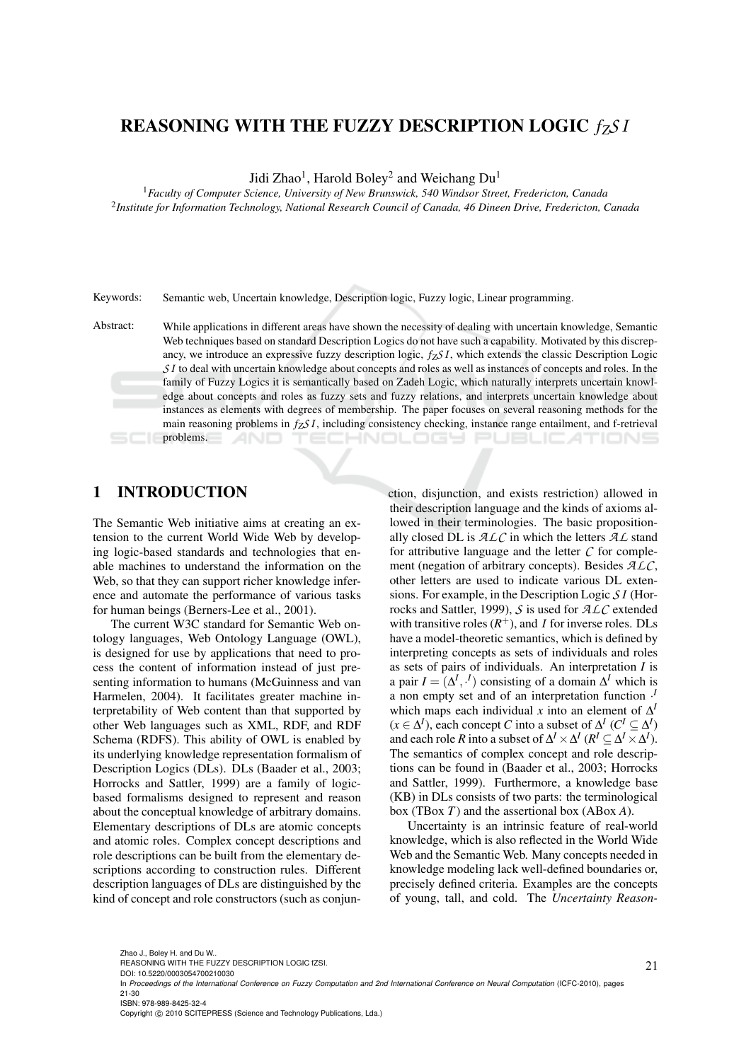# REASONING WITH THE FUZZY DESCRIPTION LOGIC *fZS I*

Jidi Zhao<sup>1</sup>, Harold Boley<sup>2</sup> and Weichang Du<sup>1</sup>

<sup>1</sup>*Faculty of Computer Science, University of New Brunswick, 540 Windsor Street, Fredericton, Canada* 2 *Institute for Information Technology, National Research Council of Canada, 46 Dineen Drive, Fredericton, Canada*

Keywords: Semantic web, Uncertain knowledge, Description logic, Fuzzy logic, Linear programming.

Abstract: While applications in different areas have shown the necessity of dealing with uncertain knowledge, Semantic Web techniques based on standard Description Logics do not have such a capability. Motivated by this discrepancy, we introduce an expressive fuzzy description logic, *fZS I*, which extends the classic Description Logic *SI* to deal with uncertain knowledge about concepts and roles as well as instances of concepts and roles. In the family of Fuzzy Logics it is semantically based on Zadeh Logic, which naturally interprets uncertain knowledge about concepts and roles as fuzzy sets and fuzzy relations, and interprets uncertain knowledge about instances as elements with degrees of membership. The paper focuses on several reasoning methods for the main reasoning problems in *fZS I*, including consistency checking, instance range entailment, and f-retrieval problems. **HNOLOGY PUBLICATION** 

### 1 INTRODUCTION

The Semantic Web initiative aims at creating an extension to the current World Wide Web by developing logic-based standards and technologies that enable machines to understand the information on the Web, so that they can support richer knowledge inference and automate the performance of various tasks for human beings (Berners-Lee et al., 2001).

The current W3C standard for Semantic Web ontology languages, Web Ontology Language (OWL), is designed for use by applications that need to process the content of information instead of just presenting information to humans (McGuinness and van Harmelen, 2004). It facilitates greater machine interpretability of Web content than that supported by other Web languages such as XML, RDF, and RDF Schema (RDFS). This ability of OWL is enabled by its underlying knowledge representation formalism of Description Logics (DLs). DLs (Baader et al., 2003; Horrocks and Sattler, 1999) are a family of logicbased formalisms designed to represent and reason about the conceptual knowledge of arbitrary domains. Elementary descriptions of DLs are atomic concepts and atomic roles. Complex concept descriptions and role descriptions can be built from the elementary descriptions according to construction rules. Different description languages of DLs are distinguished by the kind of concept and role constructors (such as conjunction, disjunction, and exists restriction) allowed in their description language and the kinds of axioms allowed in their terminologies. The basic propositionally closed DL is *ALC* in which the letters *AL* stand for attributive language and the letter *C* for complement (negation of arbitrary concepts). Besides *ALC*, other letters are used to indicate various DL extensions. For example, in the Description Logic *S I* (Horrocks and Sattler, 1999), *S* is used for *ALC* extended with transitive roles  $(R^+)$ , and *I* for inverse roles. DLs have a model-theoretic semantics, which is defined by interpreting concepts as sets of individuals and roles as sets of pairs of individuals. An interpretation *I* is a pair  $I = [\Delta^I, \cdot^I]$  consisting of a domain  $\Delta^I$  which is a non empty set and of an interpretation function · *I* which maps each individual *x* into an element of  $\Delta^1$  $(x \in \Delta^I)$ , each concept *C* into a subset of  $\Delta^I$  ( $C^I \subseteq \Delta^I$ ) and each role *R* into a subset of  $\Delta^I \times \Delta^I$  ( $R^I \subseteq \Delta^I \times \Delta^I$ ). The semantics of complex concept and role descriptions can be found in (Baader et al., 2003; Horrocks and Sattler, 1999). Furthermore, a knowledge base (KB) in DLs consists of two parts: the terminological box (TBox *T*) and the assertional box (ABox *A*).

Uncertainty is an intrinsic feature of real-world knowledge, which is also reflected in the World Wide Web and the Semantic Web. Many concepts needed in knowledge modeling lack well-defined boundaries or, precisely defined criteria. Examples are the concepts of young, tall, and cold. The *Uncertainty Reason-*

Copyright © 2010 SCITEPRESS (Science and Technology Publications, Lda.)

REASONING WITH THE FUZZY DESCRIPTION LOGIC fZSI.

DOI: 10.5220/0003054700210030

In *Proceedings of the International Conference on Fuzzy Computation and 2nd International Conference on Neural Computation* (ICFC-2010), pages 21-30 ISBN: 978-989-8425-32-4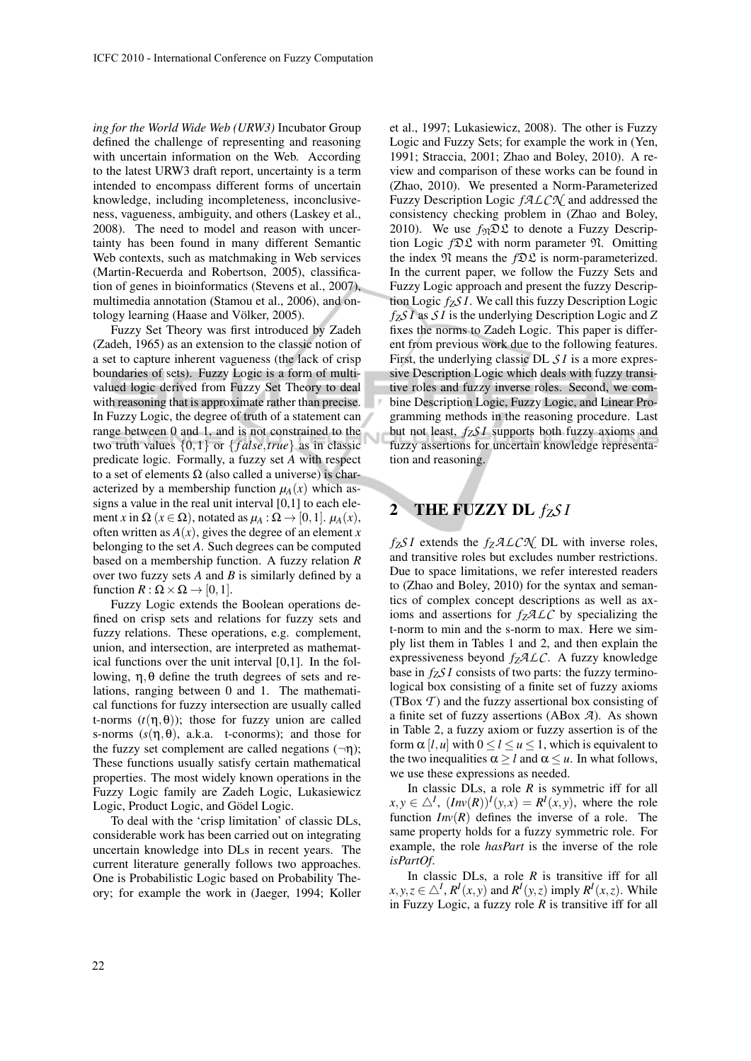*ing for the World Wide Web (URW3)* Incubator Group defined the challenge of representing and reasoning with uncertain information on the Web. According to the latest URW3 draft report, uncertainty is a term intended to encompass different forms of uncertain knowledge, including incompleteness, inconclusiveness, vagueness, ambiguity, and others (Laskey et al., 2008). The need to model and reason with uncertainty has been found in many different Semantic Web contexts, such as matchmaking in Web services (Martin-Recuerda and Robertson, 2005), classification of genes in bioinformatics (Stevens et al., 2007), multimedia annotation (Stamou et al., 2006), and ontology learning (Haase and Völker, 2005).

Fuzzy Set Theory was first introduced by Zadeh (Zadeh, 1965) as an extension to the classic notion of a set to capture inherent vagueness (the lack of crisp boundaries of sets). Fuzzy Logic is a form of multivalued logic derived from Fuzzy Set Theory to deal with reasoning that is approximate rather than precise. In Fuzzy Logic, the degree of truth of a statement can range between 0 and 1, and is not constrained to the two truth values {0,1} or { *f alse*,*true*} as in classic predicate logic. Formally, a fuzzy set *A* with respect to a set of elements  $\Omega$  (also called a universe) is characterized by a membership function  $\mu_A(x)$  which assigns a value in the real unit interval  $[0,1]$  to each element *x* in  $\Omega$  ( $x \in \Omega$ ), notated as  $\mu_A : \Omega \to [0,1]$ .  $\mu_A(x)$ , often written as  $A(x)$ , gives the degree of an element x belonging to the set *A*. Such degrees can be computed based on a membership function. A fuzzy relation *R* over two fuzzy sets *A* and *B* is similarly defined by a function  $R : \Omega \times \Omega \rightarrow [0,1]$ .

Fuzzy Logic extends the Boolean operations defined on crisp sets and relations for fuzzy sets and fuzzy relations. These operations, e.g. complement, union, and intersection, are interpreted as mathematical functions over the unit interval [0,1]. In the following,  $η$ ,  $θ$  define the truth degrees of sets and relations, ranging between 0 and 1. The mathematical functions for fuzzy intersection are usually called t-norms  $(t(\eta, \theta))$ ; those for fuzzy union are called s-norms  $(s(\eta, \theta))$ , a.k.a. t-conorms); and those for the fuzzy set complement are called negations  $(\neg \eta)$ ; These functions usually satisfy certain mathematical properties. The most widely known operations in the Fuzzy Logic family are Zadeh Logic, Lukasiewicz Logic, Product Logic, and Gödel Logic.

To deal with the 'crisp limitation' of classic DLs, considerable work has been carried out on integrating uncertain knowledge into DLs in recent years. The current literature generally follows two approaches. One is Probabilistic Logic based on Probability Theory; for example the work in (Jaeger, 1994; Koller et al., 1997; Lukasiewicz, 2008). The other is Fuzzy Logic and Fuzzy Sets; for example the work in (Yen, 1991; Straccia, 2001; Zhao and Boley, 2010). A review and comparison of these works can be found in (Zhao, 2010). We presented a Norm-Parameterized Fuzzy Description Logic *fALCN* and addressed the consistency checking problem in (Zhao and Boley, 2010). We use  $f_{\mathfrak{N}} \mathfrak{D} \mathfrak{L}$  to denote a Fuzzy Description Logic *f*DL with norm parameter N. Omitting the index  $\mathfrak N$  means the  $f\mathfrak D\mathfrak L$  is norm-parameterized. In the current paper, we follow the Fuzzy Sets and Fuzzy Logic approach and present the fuzzy Description Logic *fZS I*. We call this fuzzy Description Logic *fZS I* as *S I* is the underlying Description Logic and *Z* fixes the norms to Zadeh Logic. This paper is different from previous work due to the following features. First, the underlying classic DL *S I* is a more expressive Description Logic which deals with fuzzy transitive roles and fuzzy inverse roles. Second, we combine Description Logic, Fuzzy Logic, and Linear Programming methods in the reasoning procedure. Last but not least, *fZS I* supports both fuzzy axioms and fuzzy assertions for uncertain knowledge representation and reasoning.

## 2 THE FUZZY DL  $f_Z S I$

Ù

*fZS I* extends the *fZALCN* DL with inverse roles, and transitive roles but excludes number restrictions. Due to space limitations, we refer interested readers to (Zhao and Boley, 2010) for the syntax and semantics of complex concept descriptions as well as axioms and assertions for  $f_7 \mathcal{A} \mathcal{L} \mathcal{C}$  by specializing the t-norm to min and the s-norm to max. Here we simply list them in Tables 1 and 2, and then explain the expressiveness beyond *fZALC*. A fuzzy knowledge base in  $f_7S I$  consists of two parts: the fuzzy terminological box consisting of a finite set of fuzzy axioms (TBox *T* ) and the fuzzy assertional box consisting of a finite set of fuzzy assertions (ABox *A*). As shown in Table 2, a fuzzy axiom or fuzzy assertion is of the form  $\alpha$  [*l*,*u*] with  $0 \le l \le u \le 1$ , which is equivalent to the two inequalities  $\alpha \geq l$  and  $\alpha \leq u$ . In what follows, we use these expressions as needed.

In classic DLs, a role *R* is symmetric iff for all  $x, y \in \Delta^I$ ,  $(Inv(R))^I(y, x) = R^I(x, y)$ , where the role function  $Inv(R)$  defines the inverse of a role. The same property holds for a fuzzy symmetric role. For example, the role *hasPart* is the inverse of the role *isPartOf*.

In classic DLs, a role *R* is transitive iff for all  $x, y, z \in \triangle^I$ ,  $R^I(x, y)$  and  $R^I(y, z)$  imply  $R^I(x, z)$ . While in Fuzzy Logic, a fuzzy role *R* is transitive iff for all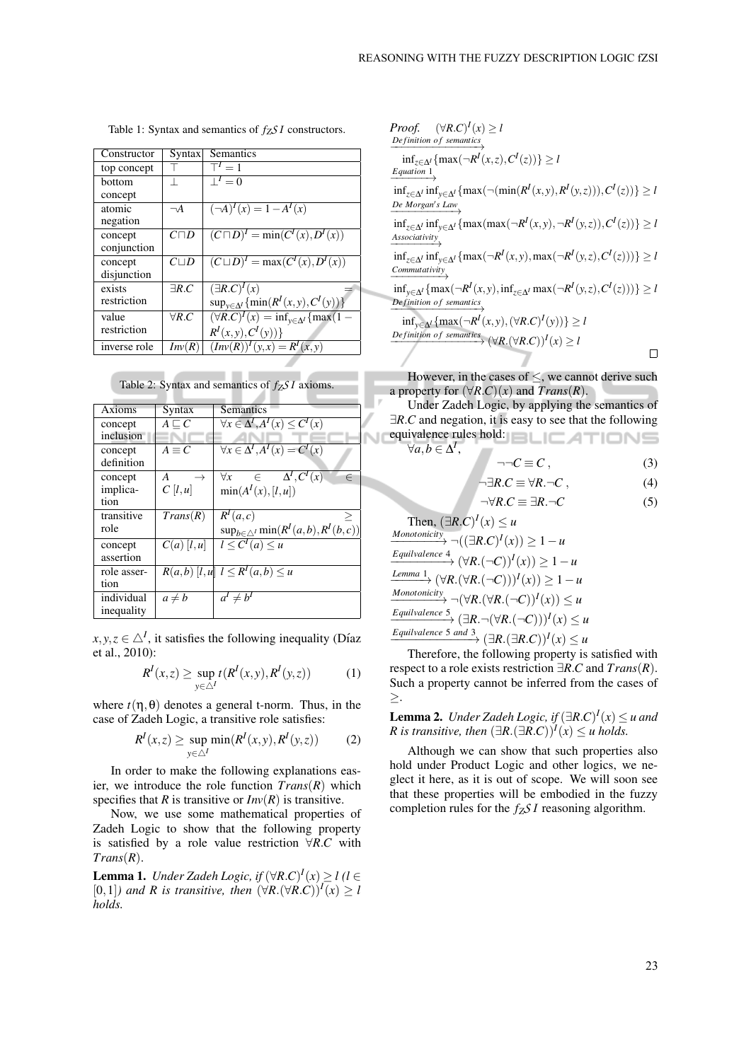| Constructor  | Syntax        | Semantics                                                    |
|--------------|---------------|--------------------------------------------------------------|
| top concept  |               | $T' = 1$                                                     |
| bottom       |               | $\overline{\perp}^I=0$                                       |
| concept      |               |                                                              |
| atomic       | $\neg A$      | $(\neg A)^{I}(x) = 1 - A^{I}(x)$                             |
| negation     |               |                                                              |
| concept      | $C\Box D$     | $(C \sqcap D)^{I} = \min(C^{I}(x), D^{I}(x))$                |
| conjunction  |               |                                                              |
| concept      | $C \sqcup D$  | $(C \sqcup D)^{I} = \max(C^{I}(x), D^{I}(x))$                |
| disjunction  |               |                                                              |
| exists       | $\exists R.C$ | $(\exists R.C)^{I}(x)$                                       |
| restriction  |               | $\sup_{y \in \Delta^l} \{ \min(R^I(x, y), C^I(y)) \}$        |
| value        | $\forall R.C$ | $(\forall R.C)^{I}(x) = \inf_{y \in \Delta^{I}} \{ \max(1 -$ |
| restriction  |               | $R^{I}(x, y), C^{I}(y))\}$                                   |
| inverse role | Inv(R)        | $(Inv(R))^{I}(y,x) = R^{I}(x,y)$                             |

Table 1: Syntax and semantics of *fZS I* constructors.

Table 2: Syntax and semantics of *fZS I* axioms.

| Axioms      | <b>Syntax</b>      | <b>Semantics</b>                                     |
|-------------|--------------------|------------------------------------------------------|
| concept     | $A \sqsubset C$    | $\forall x \in \Delta^I, A^I(x) \leq C^I(x)$         |
| inclusion   |                    |                                                      |
| concept     | $A \equiv C$       | $\forall x \in \Delta^I, A^I(x) = C^I(x)$            |
| definition  |                    |                                                      |
| concept     | A<br>$\rightarrow$ | $\forall x \in \Delta^I, C^I(x)$<br>$\in$            |
| implica-    | C[l,u]             | $\min(A^I(x), [l, u])$                               |
| tion        |                    |                                                      |
| transitive  | Trans(R)           | R <sup>I</sup> (a,c)                                 |
| role        |                    | $\sup_{b\in\triangle^I} \min(R^I(a,b),R^I(b,c))$     |
| concept     | $C(a)$ [l,u]       | $l \leq C^I(a) \leq u$                               |
| assertion   |                    |                                                      |
| role asser- |                    | $R(a,b)$ $\overline{(l,u]}$ $l \leq R^I(a,b) \leq u$ |
| tion        |                    |                                                      |
| individual  | $a \neq b$         | $a^I \neq b^I$                                       |
| inequality  |                    |                                                      |

 $x, y, z \in \triangle^I$ , it satisfies the following inequality (Díaz et al., 2010):

$$
RI(x,z) \ge \sup_{y \in \triangle^I} t(RI(x,y), RI(y,z))
$$
 (1)

where  $t(\eta, \theta)$  denotes a general t-norm. Thus, in the case of Zadeh Logic, a transitive role satisfies:

$$
RI(x,z) \ge \sup_{y \in \triangle^I} \min(RI(x,y), RI(y,z))
$$
 (2)

In order to make the following explanations easier, we introduce the role function *Trans*(*R*) which specifies that *R* is transitive or  $Inv(R)$  is transitive.

Now, we use some mathematical properties of Zadeh Logic to show that the following property is satisfied by a role value restriction ∀*R*.*C* with *Trans*(*R*).

**Lemma 1.** *Under Zadeh Logic, if*  $(\forall R.C)^{I}(x) \geq l$  (*l* ∈ [0,1]*)* and *R* is transitive, then  $(\forall R.(\forall R.C))^I(x) ≥ l$ *holds.*

Proof. 
$$
(\forall R.C)^{I}(x) \geq l
$$
  
\n*Definition of semantics*  
\n
$$
\inf_{z \in \Delta^{I}} \{ \max(\neg R^{I}(x,z), C^{I}(z)) \} \geq l
$$
  
\n*Equation 1*  
\n
$$
\inf_{z \in \Delta^{I}} \inf_{y \in \Delta^{I}} \{ \max(\neg (\min(R^{I}(x,y), R^{I}(y,z))), C^{I}(z)) \} \geq l
$$
  
\n*De Morgan's Law*  
\n
$$
\inf_{z \in \Delta^{I}} \inf_{y \in \Delta^{I}} \{ \max(\max(\neg R^{I}(x,y), \neg R^{I}(y,z)), C^{I}(z)) \} \geq l
$$
  
\nAssociativity  
\n
$$
\inf_{x \in \Delta^{I}} \inf_{y \in \Delta^{I}} \{ \max(\neg R^{I}(x,y), \max(\neg R^{I}(y,z), C^{I}(z))) \} \geq l
$$
  
\n*Commutativity*  
\n
$$
\inf_{y \in \Delta^{I}} \{ \max(\neg R^{I}(x,y), \inf_{z \in \Delta^{I}} \max(\neg R^{I}(y,z), C^{I}(z))) \} \geq l
$$
  
\n*Definition of semantics*  
\n
$$
\inf_{y \in \Delta^{I}} \{ \max(\neg R^{I}(x,y), (\forall R.C)^{I}(y)) \} \geq l
$$
  
\n*Definition of semantics*  
\n
$$
(\forall R. (\forall R.C))^{I}(x) \geq l
$$

However, in the cases of  $\leq$ , we cannot derive such a property for  $(\forall R.C)(x)$  and  $Trans(R)$ .

Under Zadeh Logic, by applying the semantics of ∃*R*.*C* and negation, it is easy to see that the following equivalence rules hold:  $\forall a, b \in \Delta^I$ ,

$$
\neg \neg C \equiv C \,, \tag{3}
$$

$$
\neg \exists R.C \equiv \forall R.\neg C \,,\tag{4}
$$

$$
\neg \forall R.C \equiv \exists R.\neg C \tag{5}
$$

Then, 
$$
(\exists R.C)^I(x) \le u
$$
  
\n
$$
\xrightarrow{Monotonicity} \neg ((\exists R.C)^I(x)) \ge 1 - u
$$
\n
$$
\xrightarrow{Equivalence 4} (\forall R.(\neg C))^I(x) \ge 1 - u
$$
\n
$$
\xrightarrow{Lemma 1} (\forall R.(\forall R.(\neg C)))^I(x) \ge 1 - u
$$
\n
$$
\xrightarrow{Monotonicity} \neg (\forall R.(\forall R.(\neg C))^I(x) \le u
$$
\n
$$
\xrightarrow{Equivalence 5} (\exists R. \neg (\forall R.(\neg C)))^I(x) \le u
$$
\n
$$
\xrightarrow{Equivalence 5 and 3} (\exists R.(\exists R.C))^I(x) \le u
$$

Therefore, the following property is satisfied with respect to a role exists restriction ∃*R*.*C* and *Trans*(*R*). Such a property cannot be inferred from the cases of ≥.

**Lemma 2.** *Under Zadeh Logic, if*  $(\exists R.C)^{I}(x) \leq u$  *and R* is transitive, then  $(\exists R.(\exists R.C))^{\textit{I}}(x) \le u$  holds.

Although we can show that such properties also hold under Product Logic and other logics, we neglect it here, as it is out of scope. We will soon see that these properties will be embodied in the fuzzy completion rules for the *fZS I* reasoning algorithm.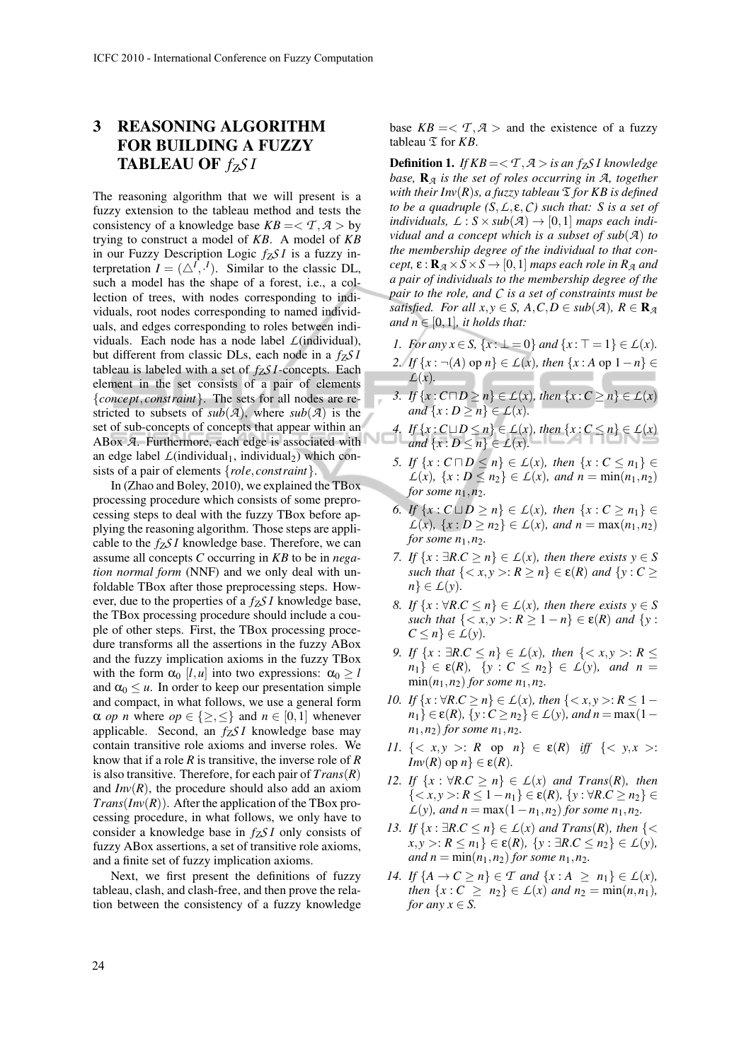# 3 REASONING ALGORITHM FOR BUILDING A FUZZY TABLEAU OF *fZS I*

The reasoning algorithm that we will present is a fuzzy extension to the tableau method and tests the consistency of a knowledge base  $KB = \langle T, A \rangle$  by trying to construct a model of *KB*. A model of *KB* in our Fuzzy Description Logic *fZS I* is a fuzzy interpretation  $I = (\triangle^I, \cdot^I)$ . Similar to the classic DL, such a model has the shape of a forest, i.e., a collection of trees, with nodes corresponding to individuals, root nodes corresponding to named individuals, and edges corresponding to roles between individuals. Each node has a node label *L*(individual), but different from classic DLs, each node in a *fZS I* tableau is labeled with a set of *fZS I*-concepts. Each element in the set consists of a pair of elements {*concept*, *constraint*}. The sets for all nodes are restricted to subsets of  $sub(A)$ , where  $sub(A)$  is the set of sub-concepts of concepts that appear within an ABox *A*. Furthermore, each edge is associated with an edge label  $L$ (individual<sub>1</sub>, individual<sub>2</sub>) which consists of a pair of elements {*role*, *constraint*}.

In (Zhao and Boley, 2010), we explained the TBox processing procedure which consists of some preprocessing steps to deal with the fuzzy TBox before applying the reasoning algorithm. Those steps are applicable to the *fZS I* knowledge base. Therefore, we can assume all concepts *C* occurring in *KB* to be in *negation normal form* (NNF) and we only deal with unfoldable TBox after those preprocessing steps. However, due to the properties of a *fZS I* knowledge base, the TBox processing procedure should include a couple of other steps. First, the TBox processing procedure transforms all the assertions in the fuzzy ABox and the fuzzy implication axioms in the fuzzy TBox with the form  $\alpha_0$  [*l*,*u*] into two expressions:  $\alpha_0 \ge l$ and  $\alpha_0 \leq u$ . In order to keep our presentation simple and compact, in what follows, we use a general form  $\alpha$  *op n* where  $op \in \{ \geq, \leq \}$  and  $n \in [0,1]$  whenever applicable. Second, an *fZS I* knowledge base may contain transitive role axioms and inverse roles. We know that if a role *R* is transitive, the inverse role of *R* is also transitive. Therefore, for each pair of *Trans*(*R*) and  $Inv(R)$ , the procedure should also add an axiom *Trans*(*Inv*(*R*)). After the application of the TBox processing procedure, in what follows, we only have to consider a knowledge base in *fZS I* only consists of fuzzy ABox assertions, a set of transitive role axioms, and a finite set of fuzzy implication axioms.

Next, we first present the definitions of fuzzy tableau, clash, and clash-free, and then prove the relation between the consistency of a fuzzy knowledge base  $KB = \langle T, A \rangle$  and the existence of a fuzzy tableau  $\mathfrak T$  for *KB*.

**Definition 1.** *If KB* = < *T*,  $A$  > *is an f<sub><i>ZS*</sub> *I knowledge base,* R*<sup>A</sup> is the set of roles occurring in A, together with their Inv* $(R)$ *s, a fuzzy tableau*  $\mathcal{I}$  *for KB is defined to be a quadruple (S*,*L*, ε,*C) such that: S is a set of individuals,*  $\mathcal{L}: S \times sub(\mathcal{A}) \rightarrow [0,1]$  *maps each individual and a concept which is a subset of sub*(*A*) *to the membership degree of the individual to that concept,*  $\varepsilon$  :  $\mathbf{R}_{\mathcal{A}} \times S \times S \rightarrow [0,1]$  *maps each role in*  $R_{\mathcal{A}}$  *and a pair of individuals to the membership degree of the pair to the role, and C is a set of constraints must be satisfied.* For all  $x, y \in S$ ,  $A, C, D \in sub(\mathcal{A})$ ,  $R \in \mathbb{R}_{\mathcal{A}}$ *and*  $n \in [0,1]$ *, it holds that:* 

- *1. For any*  $x \in S$ ,  $\{x : \bot = 0\}$  *and*  $\{x : \top = 1\} \in L(x)$ *.*
- *2. If*  $\{x : \neg(A)$  op  $n\}$  ∈  $\mathcal{L}(x)$ *, then*  $\{x : A$  op  $1 n\}$  ∈ *L*(*x*)*.*
- *3. If* {*x* : *C*□*D* ≥ *n*} ∈ *L*(*x*)*, then* {*x* : *C* ≥ *n*} ∈ *L*(*x*) *and*  $\{x : D \ge n\} \in L(x)$ *.*
- *4. If* {*x* : *C* $\sqcup D \le n$ } ∈ *L*(*x*)*, then* {*x* : *C* ≤ *n*} ∈ *L*(*x*) *and*  $\{x : D \le n\} \in L(x)$ *.*
- *5. If*  $\{x : C \sqcap D \leq n\} \in L(x)$ , then  $\{x : C \leq n_1\} \in$  $L(x)$ ,  $\{x : D \le n_2\} \in L(x)$ , and  $n = \min(n_1, n_2)$ *for some*  $n_1$ *,* $n_2$ *.*
- *6. If*  $\{x : C \sqcup D \ge n\}$  ∈  $L(x)$ *, then*  $\{x : C \ge n_1\}$  ∈  $L(x)$ ,  $\{x : D \ge n_2\} \in L(x)$ , and  $n = \max(n_1, n_2)$ *for some*  $n_1$ *, n*<sub>2</sub>*.*
- *7. If*  $\{x : \exists R.C \ge n\}$  ∈  $L(x)$ *, then there exists*  $y \in S$ *such that*  $\{< x, y> : R \ge n\} \in \mathcal{E}(R)$  *and*  $\{y : C \ge n\}$  $n \in \mathcal{L}(y)$ .
- *8. If*  $\{x : \forall R.C \leq n\} \in L(x)$ *, then there exists*  $y \in S$ *such that*  $\{ \langle x, y \rangle : R \ge 1 - n \} \in \mathcal{E}(R)$  *and*  $\{y :$  $C \leq n$   $\in L(y)$ *.*
- *9. If*  $\{x : \exists R.C \le n\}$  ∈  $\mathcal{L}(x)$ *, then*  $\{< x, y >: R \le n\}$  $n_1$ }  $\in \varepsilon(R)$ , {*y* : *C*  $\leq n_2$ }  $\in L(y)$ , and *n* =  $\min(n_1, n_2)$  *for some*  $n_1, n_2$ *.*
- *10. If*  $\{x : \forall R.C \ge n\}$  ∈  $\mathcal{L}(x)$ *, then*  $\{< x, y >: R \le 1$  $n_1$ }  $\in \varepsilon(R)$ , {*y* :  $C \ge n_2$ }  $\in L(y)$ *, and n* = max(1 – *n*<sub>1</sub>*,n*<sub>2</sub>*) for some n*<sub>1</sub>*,n*<sub>2</sub>*.*
- *11.* {  $\langle x, y \rangle : R$  op  $n$ }  $\in \mathcal{E}(R)$  *iff* { $\langle y, x \rangle : R$ *Inv*(*R*) op *n*}  $\in \varepsilon(R)$ *.*
- *12. If*  $\{x : \forall R.C > n\} \in L(x)$  *and Trans* $(R)$ *, then* {< *x*, *y* >: *R* ≤ 1−*n*1} ∈ ε(*R*)*,* {*y* : ∀*R*.*C* ≥ *n*2} ∈ *L*(*y*)*,* and *n* = max(1−*n*<sub>1</sub>,*n*<sub>2</sub>) *for some n*<sub>1</sub>,*n*<sub>2</sub>*.*
- *13. If*  $\{x : \exists R.C \le n\}$  ∈  $\mathcal{L}(x)$  *and Trans* $(R)$ *, then*  $\{<$  $x, y >: R \leq n_1$ }  $\in \varepsilon(R)$ ,  $\{y : \exists R.C \leq n_2\} \in L(y)$ , *and*  $n = min(n_1, n_2)$  *for some*  $n_1, n_2$ *.*
- *14. If*  ${A \rightarrow C > n} ∈ T$  *and*  ${x : A > n_1} ∈ L(x)$ *, then*  $\{x : C \geq n_2\} \in L(x)$  *and*  $n_2 = \min(n, n_1)$ *, for any*  $x \in S$ .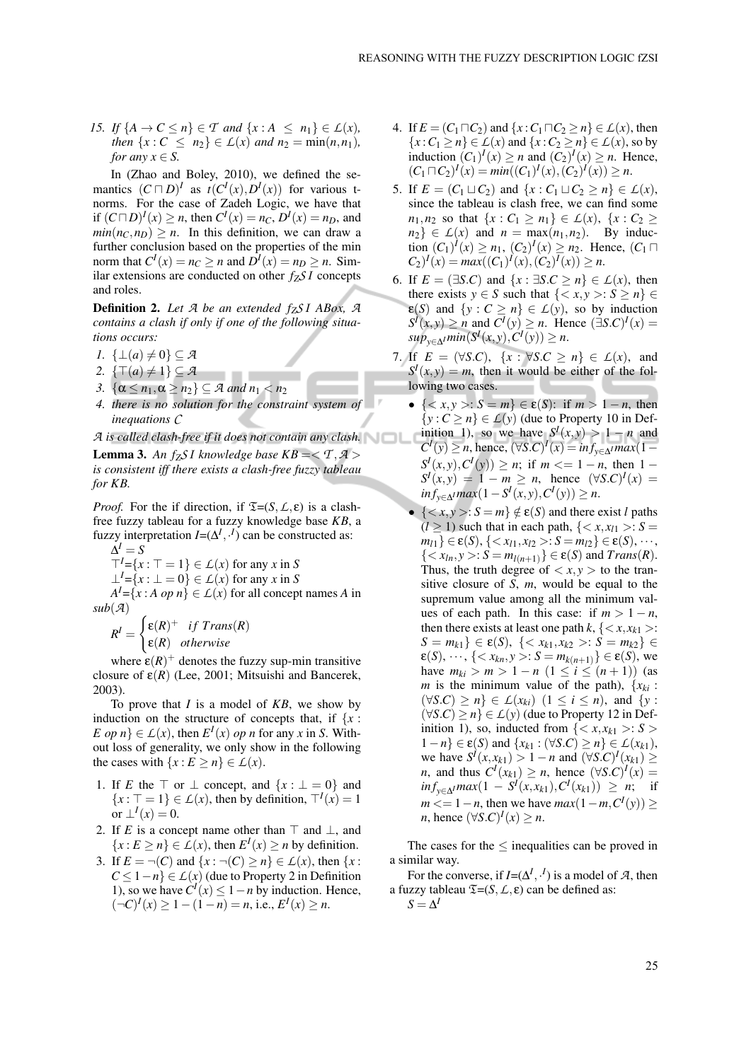*15. If*  $\{A \to C \le n\} \in T$  *and*  $\{x : A \le n_1\} \in L(x)$ *, then*  $\{x : C \le n_2\} \in L(x)$  *and*  $n_2 = \min(n, n_1)$ *, for any*  $x \in S$ .

In (Zhao and Boley, 2010), we defined the semantics  $(C \sqcap D)^{I}$  as  $t(C^{I}(x), D^{I}(x))$  for various tnorms. For the case of Zadeh Logic, we have that if  $(C \sqcap D)^{I}(x) \ge n$ , then  $C^{I}(x) = n_{C}, D^{I}(x) = n_{D}$ , and  $min(n_C, n_D) > n$ . In this definition, we can draw a further conclusion based on the properties of the min norm that  $C^I(x) = n_C \ge n$  and  $D^I(x) = n_D \ge n$ . Similar extensions are conducted on other *fZS I* concepts and roles.

Definition 2. *Let A be an extended fZS I ABox, A contains a clash if only if one of the following situations occurs:*

- *1.*  $\{\bot(a) \neq 0\}$ ⊆ *A*
- 2.  $\{\top(a) \neq 1\} \subseteq \mathcal{A}$
- *3.*  $\{\alpha \leq n_1, \alpha \geq n_2\} \subseteq \mathcal{A}$  *and*  $n_1 < n_2$
- *4. there is no solution for the constraint system of inequations C*

*A is called clash-free if it does not contain any clash.*

**Lemma 3.** An f<sub>*ZS*</sub> *I* knowledge base  $KB = \langle T, A \rangle$ *is consistent iff there exists a clash-free fuzzy tableau for KB.*

*Proof.* For the if direction, if  $\mathfrak{T}=(S, \mathcal{L}, \varepsilon)$  is a clashfree fuzzy tableau for a fuzzy knowledge base *KB*, a fuzzy interpretation  $I = (\Delta^I, \cdot^I)$  can be constructed as:

$$
\Delta^I = S
$$

 $T<sup>I</sup> = \{x : \top = 1\} \in L(x)$  for any *x* in *S* 

 $\perp^{I} = \{x : \perp = 0\} \in L(x)$  for any *x* in *S* 

 $A<sup>I</sup> = \{x : A \text{ op } n\} \in L(x)$  for all concept names *A* in  $sub(A)$ 

$$
R^{I} = \begin{cases} \varepsilon(R)^{+} & if \ Trans(R) \\ \varepsilon(R) & otherwise \end{cases}
$$

where  $\varepsilon(R)^+$  denotes the fuzzy sup-min transitive closure of  $\varepsilon(R)$  (Lee, 2001; Mitsuishi and Bancerek, 2003).

To prove that *I* is a model of *KB*, we show by induction on the structure of concepts that, if  $\{x :$ *E op n*}  $\in L(x)$ , then  $E^I(x)$  *op n* for any *x* in *S*. Without loss of generality, we only show in the following the cases with  $\{x : E \ge n\} \in L(x)$ .

- 1. If *E* the  $\top$  or  $\bot$  concept, and  $\{x : \bot = 0\}$  and  ${x : \top = 1} \in L(x)$ , then by definition,  $\top^{I}(x) = 1$ or  $\perp^I(x) = 0$ .
- 2. If *E* is a concept name other than  $\top$  and  $\bot$ , and  $\{x : E \ge n\} \in L(x)$ , then  $E^I(x) \ge n$  by definition.
- 3. If  $E = \neg(C)$  and  $\{x : \neg(C) \ge n\} \in \mathcal{L}(x)$ , then  $\{x : \neg(C) \ge n\}$  $C \le 1-n$ }  $\in L(x)$  (due to Property 2 in Definition 1), so we have  $C^{I}(x)$  ≤ 1 − *n* by induction. Hence,  $(-C)^{I}(x) \ge 1 - (1 - n) = n$ , i.e.,  $E^{I}(x) \ge n$ .
- 4. If  $E = (C_1 \sqcap C_2)$  and  $\{x : C_1 \sqcap C_2 \ge n\} \in L(x)$ , then { $x$  : *C*<sub>1</sub> ≥ *n*} ∈ *L*(*x*) and { $x$  : *C*<sub>2</sub> ≥ *n*} ∈ *L*(*x*), so by induction  $(C_1)^I(x) \ge n$  and  $(C_2)^I(x) \ge n$ . Hence,  $(C_1 \sqcap C_2)^I(x) = min((C_1)^I(x), (C_2)^I(x)) \geq n.$
- 5. If  $E = (C_1 \sqcup C_2)$  and  $\{x : C_1 \sqcup C_2 \ge n\} \in \mathcal{L}(x)$ , since the tableau is clash free, we can find some *n*<sub>1</sub>,*n*<sub>2</sub> so that {*x* : *C*<sub>1</sub> ≥ *n*<sub>1</sub>} ∈ *L*(*x*), {*x* : *C*<sub>2</sub> ≥  $n_2$ }  $\in$  *L*(*x*) and *n* = max(*n*<sub>1</sub>, *n*<sub>2</sub>). By induction  $(C_1)^l(x) \ge n_1$ ,  $(C_2)^l(x) \ge n_2$ . Hence,  $(C_1 \sqcap$  $C_2$ <sup>*I*</sup>(*x*) =  $max((C_1)^I(x), (C_2)^I(x)) \ge n$ .
- 6. If  $E = (\exists S.C)$  and  $\{x : \exists S.C > n\} \in L(x)$ , then there exists  $y \in S$  such that  $\{ \langle x, y \rangle : S \ge n \} \in$  $\varepsilon(S)$  and  $\{y : C \ge n\} \in L(y)$ , so by induction  $S^{\mathcal{I}}(x, y) \ge n$  and  $C^{\mathcal{I}}(y) \ge n$ . Hence  $(\exists S.C)^{\mathcal{I}}(x) =$ *sup*<sub>y∈∆</sub>*Imin*(*S*<sup>*I*</sup>(*x*, *y*), *C*<sup>*I*</sup>(*y*)) ≥ *n*.
- 7. If  $E = (\forall S.C), \{x : \forall S.C \ge n\} \in L(x),$  and  $S<sup>I</sup>(x, y) = m$ , then it would be either of the following two cases.
	- {  $\langle x, y \rangle$ : *S* = *m*} ∈ ε(*S*): if *m* > 1 − *n*, then  $\{y : C \ge n\} \in L(y)$  (due to Property 10 in Definition 1), so we have  $S^I(x, y) > 1 - n$  and  $C^{I}(y) \ge n$ , hence,  $(\forall S.C)^{I}(x) = inf_{y \in \Delta}max(1 - \Delta)$  $S^I(x, y), C^I(y) \ge n$ ; if  $m \le 1 - n$ , then 1 –  $S^I(x, y) = 1 - m \ge n$ , hence  $(\forall S.C)^I(x) =$ *in*  $f_{y \in \Delta}$ *I max*(1−*S*<sup>*I*</sup>(*x*, *y*), *C*<sup>*I*</sup>(*y*)) ≥ *n*.
	- ${ < x, y >: S = m} \notin \varepsilon(S)$  and there exist *l* paths  $(l \ge 1)$  such that in each path,  $\{ \langle x, x_{l1} \rangle : S =$  $m_{l1} \} \in \varepsilon(S), \{ \langle x_{l1}, x_{l2} \rangle : S = m_{l2} \} \in \varepsilon(S), \cdots,$  ${ < x_{ln}, y > : S = m_{l(n+1)} \} \in \varepsilon(S) \text{ and } Trans(R).$ Thus, the truth degree of  $\langle x, y \rangle$  to the transitive closure of *S*, *m*, would be equal to the supremum value among all the minimum values of each path. In this case: if  $m > 1 - n$ , then there exists at least one path  $k, \{ \langle x, x_{k1} \rangle :$ *S* = *m*<sub>*k*1</sub>} ∈ ε(*S*), {< *x*<sub>*k*1</sub>, *x*<sub>*k*2</sub> >: *S* = *m*<sub>*k*2</sub>} ∈  $\varepsilon(S), \dots, \{ \langle x_{kn}, y \rangle : S = m_{k(n+1)} \} \in \varepsilon(S),$  we have  $m_{ki} > m > 1 - n \ (1 \le i \le (n+1))$  (as *m* is the minimum value of the path),  $\{x_{ki} :$  $(\forall S.C) \geq n$   $\in L(x_{ki})$   $(1 \leq i \leq n)$ , and  $\{y :$  $(\forall S.C) > n$   $\in L(y)$  (due to Property 12 in Definition 1), so, inducted from  $\{ \langle x, x_{k1} \rangle : S \rangle$ 1−*n*} ∈ ε(*S*) and {*xk*<sup>1</sup> : (∀*S*.*C*) ≥ *n*} ∈ *L*(*xk*1), we have  $S^{\textit{I}}(x, x_{k1}) > 1 - n$  and  $(\forall S.C)^{\textit{I}}(x_{k1}) \ge$ *n*, and thus  $C^I(x_{k1}) \ge n$ , hence  $(\forall S.C)^I(x) =$  $inf_{y \in \Delta} max(1 - S^I(x, x_{k1}), C^I(x_{k1})) \geq n;$  if  $m \leq 1 - n$ , then we have  $max(1 - m, C^I(y)) \geq$  $n,$  hence  $(\forall S.C)^{I}(x) \geq n$ .

The cases for the  $\leq$  inequalities can be proved in a similar way.

For the converse, if  $I = (\Delta^I, \cdot^I)$  is a model of *A*, then a fuzzy tableau  $\mathfrak{T}=(S, \mathcal{L}, \varepsilon)$  can be defined as:  $S = \Delta^I$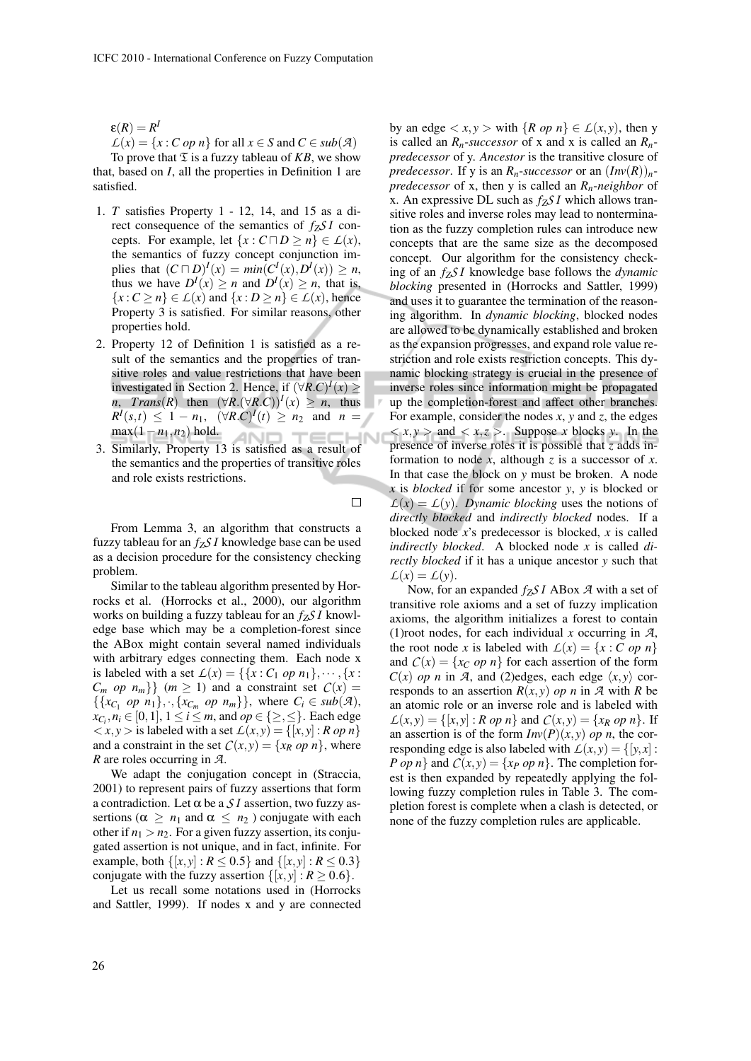$\varepsilon(R) = R^l$ 

 $L(x) = \{x : C \text{ op } n\}$  for all  $x \in S$  and  $C \in sub(\mathcal{A})$ 

To prove that  $\mathfrak T$  is a fuzzy tableau of *KB*, we show that, based on *I*, all the properties in Definition 1 are satisfied.

- 1. *T* satisfies Property 1 12, 14, and 15 as a direct consequence of the semantics of *fZS I* concepts. For example, let  $\{x : C \sqcap D \ge n\} \in L(x)$ , the semantics of fuzzy concept conjunction im- $\text{plies that } (C \sqcap D)^{I}(x) = \min(C^{I}(x), D^{I}(x)) \geq n,$ thus we have  $D^{I}(x) \geq n$  and  $D^{I}(x) \geq n$ , that is,  ${x : C \ge n} \in L(x)$  and  ${x : D \ge n} \in L(x)$ , hence Property 3 is satisfied. For similar reasons, other properties hold.
- 2. Property 12 of Definition 1 is satisfied as a result of the semantics and the properties of transitive roles and value restrictions that have been investigated in Section 2. Hence, if  $(\forall R.C)^{I}(x) \ge$  $n$ ,  $Trans(R)$  then  $(\forall R.(\forall R.C))^I(x) \geq n$ , thus  $R^I(s,t) \leq 1 - n_1$ ,  $(\forall R.C)^I(t) \geq n_2$  and  $n =$ max(1−*n*1,*n*2) hold. **AND TECHN**
- 3. Similarly, Property 13 is satisfied as a result of the semantics and the properties of transitive roles and role exists restrictions.

 $\Box$ 

. .

 $L(x) = L(v)$ .

From Lemma 3, an algorithm that constructs a fuzzy tableau for an *fZS I* knowledge base can be used as a decision procedure for the consistency checking problem.

Similar to the tableau algorithm presented by Horrocks et al. (Horrocks et al., 2000), our algorithm works on building a fuzzy tableau for an *fZS I* knowledge base which may be a completion-forest since the ABox might contain several named individuals with arbitrary edges connecting them. Each node x is labeled with a set  $L(x) = \{ \{x : C_1 \text{ op } n_1 \}, \dots, \{x : C_n\} \}$  $C_m$  *op*  $n_m$ }  $(m \ge 1)$  and a constraint set  $C(x) =$  $\{\{x_{C_1} \text{ op } n_1\}, \cdot, \{x_{C_m} \text{ op } n_m\}\}\$ , where  $C_i \in \text{sub}(\mathcal{A})$ ,  $x_{C_i}, n_i \in [0,1], 1 \le i \le m$ , and  $op \in \{\ge, \le\}$ . Each edge  $\langle x, y \rangle$  is labeled with a set  $\mathcal{L}(x, y) = \{ [x, y] : R \text{ op } n \}$ and a constraint in the set  $C(x, y) = \{x_R \text{ op } n\}$ , where *R* are roles occurring in *A*.

We adapt the conjugation concept in (Straccia, 2001) to represent pairs of fuzzy assertions that form a contradiction. Let  $\alpha$  be a  $\mathcal{S}I$  assertion, two fuzzy assertions ( $\alpha \geq n_1$  and  $\alpha \leq n_2$ ) conjugate with each other if  $n_1 > n_2$ . For a given fuzzy assertion, its conjugated assertion is not unique, and in fact, infinite. For example, both  $\{[x, y] : R \le 0.5\}$  and  $\{[x, y] : R \le 0.3\}$ conjugate with the fuzzy assertion  $\{[x, y] : R \ge 0.6\}$ .

Let us recall some notations used in (Horrocks and Sattler, 1999). If nodes x and y are connected by an edge  $\langle x, y \rangle$  with  $\{R \text{ op } n\} \in L(x, y)$ , then y is called an  $R_n$ -*successor* of x and x is called an  $R_n$ *predecessor* of y. *Ancestor* is the transitive closure of *predecessor*. If y is an  $R_n$ -*successor* or an  $(Inv(R))_n$ *predecessor* of x, then y is called an *Rn*-*neighbor* of x. An expressive DL such as *fZS I* which allows transitive roles and inverse roles may lead to nontermination as the fuzzy completion rules can introduce new concepts that are the same size as the decomposed concept. Our algorithm for the consistency checking of an *fZS I* knowledge base follows the *dynamic blocking* presented in (Horrocks and Sattler, 1999) and uses it to guarantee the termination of the reasoning algorithm. In *dynamic blocking*, blocked nodes are allowed to be dynamically established and broken as the expansion progresses, and expand role value restriction and role exists restriction concepts. This dynamic blocking strategy is crucial in the presence of inverse roles since information might be propagated up the completion-forest and affect other branches. For example, consider the nodes *x*, *y* and *z*, the edges  $\langle x, y \rangle$  and  $\langle x, z \rangle$ . Suppose *x* blocks *y*. In the presence of inverse roles it is possible that *z* adds information to node  $x$ , although  $z$  is a successor of  $x$ . In that case the block on *y* must be broken. A node *x* is *blocked* if for some ancestor *y*, *y* is blocked or  $L(x) = L(y)$ . *Dynamic blocking* uses the notions of *directly blocked* and *indirectly blocked* nodes. If a blocked node *x*'s predecessor is blocked, *x* is called *indirectly blocked*. A blocked node *x* is called *directly blocked* if it has a unique ancestor *y* such that

Now, for an expanded *fZS I* ABox *A* with a set of transitive role axioms and a set of fuzzy implication axioms, the algorithm initializes a forest to contain (1)root nodes, for each individual *x* occurring in *A*, the root node *x* is labeled with  $L(x) = \{x : C \text{ op } n\}$ and  $C(x) = \{x_C \text{ op } n\}$  for each assertion of the form  $C(x)$  *op n* in *A*, and (2)edges, each edge  $\langle x, y \rangle$  corresponds to an assertion  $R(x, y)$  *op n* in *A* with *R* be an atomic role or an inverse role and is labeled with  $L(x, y) = \{ [x, y] : R \text{ or } n \}$  and  $C(x, y) = \{ x_R \text{ or } n \}$ . If an assertion is of the form  $Inv(P)(x, y)$  *op n*, the corresponding edge is also labeled with  $L(x, y) = \{ [y, x] :$ *P op n*} and  $C(x, y) = \{x_p \text{ op } n\}$ . The completion forest is then expanded by repeatedly applying the following fuzzy completion rules in Table 3. The completion forest is complete when a clash is detected, or none of the fuzzy completion rules are applicable.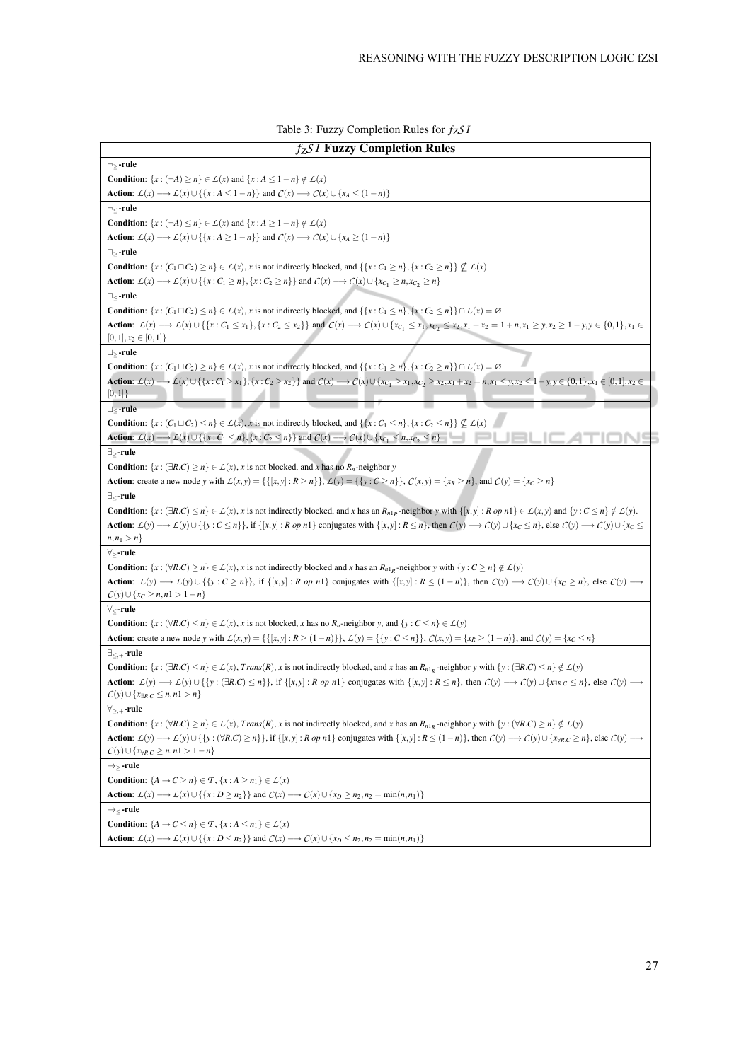| $f_Z S I$ Fuzzy Completion Rules                                                                                                                                                                                                                                                          |
|-------------------------------------------------------------------------------------------------------------------------------------------------------------------------------------------------------------------------------------------------------------------------------------------|
| ¬>-rule                                                                                                                                                                                                                                                                                   |
| <b>Condition:</b> $\{x : (\neg A) \ge n\} \in \mathcal{L}(x)$ and $\{x : A \le 1 - n\} \notin \mathcal{L}(x)$                                                                                                                                                                             |
| Action: $\mathcal{L}(x) \longrightarrow \mathcal{L}(x) \cup \{\{x : A \leq 1 - n\}\}\$ and $\mathcal{C}(x) \longrightarrow \mathcal{C}(x) \cup \{x_A \leq (1 - n)\}\$                                                                                                                     |
| $\neg_\le$ -rule                                                                                                                                                                                                                                                                          |
| <b>Condition:</b> $\{x : (\neg A) \le n\} \in \mathcal{L}(x)$ and $\{x : A \ge 1 - n\} \notin \mathcal{L}(x)$                                                                                                                                                                             |
| <b>Action:</b> $\mathcal{L}(x) \longrightarrow \mathcal{L}(x) \cup \{\{x : A \ge 1 - n\}\}\$ and $\mathcal{C}(x) \longrightarrow \mathcal{C}(x) \cup \{x_A \ge (1 - n)\}\$                                                                                                                |
| $\sqcap$ ,-rule                                                                                                                                                                                                                                                                           |
| <b>Condition:</b> $\{x: (C_1 \sqcap C_2) \ge n\} \in L(x)$ , x is not indirectly blocked, and $\{\{x: C_1 \ge n\}, \{x: C_2 \ge n\}\} \nsubseteq L(x)$                                                                                                                                    |
| <b>Action:</b> $\mathcal{L}(x) \longrightarrow \mathcal{L}(x) \cup \{\{x : C_1 \geq n\}, \{x : C_2 \geq n\}\}\$ and $\mathcal{C}(x) \longrightarrow \mathcal{C}(x) \cup \{x_{C_1} \geq n, x_{C_2} \geq n\}$                                                                               |
| $\sqcap_{\lt}$ -rule                                                                                                                                                                                                                                                                      |
| <b>Condition:</b> $\{x: (C_1 \sqcap C_2) \le n\} \in L(x)$ , x is not indirectly blocked, and $\{\{x: C_1 \le n\}, \{x: C_2 \le n\}\} \cap L(x) = \emptyset$                                                                                                                              |
| Action: $L(x) \to L(x) \cup \{\{x : C_1 \le x_1\}, \{x : C_2 \le x_2\}\}\$ and $C(x) \to C(x) \cup \{x_{C_1} \le x_1, x_{C_2} \le x_2, x_1 + x_2 = 1 + n, x_1 \ge y, x_2 \ge 1 - y, y \in \{0, 1\}, x_1 \in \{0, 1\}\}$                                                                   |
| $[0,1], x_2 \in [0,1]$                                                                                                                                                                                                                                                                    |
| $\sqcup >$ -rule                                                                                                                                                                                                                                                                          |
| <b>Condition</b> : $\{x: (C_1 \sqcup C_2) \ge n\} \in L(x)$ , x is not indirectly blocked, and $\{\{x: C_1 \ge n\}, \{x: C_2 \ge n\}\} \cap L(x) = \emptyset$                                                                                                                             |
| <b>Action:</b> $\mathcal{L}(x) \to \mathcal{L}(x) \cup \{\{x : C_1 \ge x_1\}, \{x : C_2 \ge x_2\}\}\$ and $\mathcal{C}(x) \to \mathcal{C}(x) \cup \{x_{C_1} \ge x_1, x_{C_2} \ge x_2, x_1 + x_2 = n, x_1 \le y, x_2 \le 1 - y, y \in \{0, 1\}, x_1 \in [0, 1], x_2 \in [0, 1 - x_1]\}$    |
| [0,1]                                                                                                                                                                                                                                                                                     |
| $\sqcup_{\lt}$ -rule                                                                                                                                                                                                                                                                      |
| <b>Condition:</b> $\{x: (C_1 \sqcup C_2) \le n\} \in L(x)$ , x is not indirectly blocked, and $\{\{x: C_1 \le n\}, \{x: C_2 \le n\}\} \nsubseteq L(x)$                                                                                                                                    |
| <b>Action:</b> $L(x) \longrightarrow L(x) \cup \{ \{x : C_1 \le n\}, \{x : C_2 \le n\} \}$ and $C(x) \longrightarrow C(x) \cup \{x_{C_1} \le n, x_{C_2} \le n\}$                                                                                                                          |
| $\exists$ > -rule                                                                                                                                                                                                                                                                         |
| <b>Condition:</b> $\{x : (\exists R.C) \ge n\} \in L(x)$ , x is not blocked, and x has no $R_n$ -neighbor y                                                                                                                                                                               |
| <b>Action</b> : create a new node y with $L(x,y) = \{\{x,y\}: R \ge n\}\$ , $L(y) = \{\{y : C \ge n\}\}\$ , $C(x,y) = \{x_R \ge n\}$ , and $C(y) = \{x_C \ge n\}$                                                                                                                         |
| $\exists$ < -rule                                                                                                                                                                                                                                                                         |
| <b>Condition:</b> $\{x : (\exists R.C) \le n\} \in L(x)$ , x is not indirectly blocked, and x has an $R_{n1_R}$ -neighbor y with $\{[x, y] : R \text{ or } n1\} \in L(x, y)$ and $\{y : C \le n\} \notin L(y)$ .                                                                          |
| <b>Action:</b> $L(y) \to L(y) \cup \{ \{y : C \le n \} \}$ , if $\{ [x, y] : R \text{ op } n \}$ conjugates with $\{ [x, y] : R \le n \}$ , then $C(y) \to C(y) \cup \{ x_C \le n \}$ , else $C(y) \to C(y) \cup \{ x_C \le n \}$                                                         |
| $n, n_1 > n$                                                                                                                                                                                                                                                                              |
| $\forall$ >-rule                                                                                                                                                                                                                                                                          |
| <b>Condition:</b> $\{x : (\forall R.C) \ge n\} \in L(x)$ , x is not indirectly blocked and x has an $R_{n1_R}$ -neighbor y with $\{y : C \ge n\} \notin L(y)$                                                                                                                             |
| <b>Action:</b> $\mathcal{L}(y) \longrightarrow \mathcal{L}(y) \cup \{\{y : C \ge n\}\}\$ , if $\{[x,y] : R \text{ or } n\}$ conjugates with $\{[x,y] : R \le (1-n)\}\$ , then $\mathcal{C}(y) \longrightarrow \mathcal{C}(y) \cup \{x_C \ge n\}\$ , else $\mathcal{C}(y) \longrightarrow$ |
| $C(y) \cup \{x_C \geq n, n1 > 1 - n\}$                                                                                                                                                                                                                                                    |
| $\forall <$ -rule                                                                                                                                                                                                                                                                         |
| <b>Condition:</b> $\{x : (\forall R.C) \leq n\} \in L(x)$ , x is not blocked, x has no $R_n$ -neighbor y, and $\{y : C \leq n\} \in L(y)$                                                                                                                                                 |
| <b>Action:</b> create a new node y with $\mathcal{L}(x, y) = \{ \{ [x, y] : R \ge (1 - n) \} \}$ , $\mathcal{L}(y) = \{ \{ y : C \le n \} \}$ , $\mathcal{C}(x, y) = \{ x_R \ge (1 - n) \}$ , and $\mathcal{C}(y) = \{ x_C \le n \}$                                                      |
| $\exists_{<, +}$ -rule                                                                                                                                                                                                                                                                    |
| <b>Condition:</b> $\{x : (\exists R.C) \le n\} \in L(x)$ , Trans(R), x is not indirectly blocked, and x has an $R_{n1R}$ -neighbor y with $\{y : (\exists R.C) \le n\} \notin L(y)$                                                                                                       |
| Action: $L(y) \to L(y) \cup \{\{y : (\exists R.C) \le n\}\}\$ , if $\{[x, y] : R \text{ or } n\}$ conjugates with $\{[x, y] : R \le n\}$ , then $C(y) \to C(y) \cup \{x_{3R.C} \le n\}\$ , else $C(y) \to C(y)$                                                                           |
| $C(y) \cup \{x_{\exists R.C} \leq n, n1 > n\}$                                                                                                                                                                                                                                            |
| $\forall_{\geq, +}$ -rule                                                                                                                                                                                                                                                                 |
| <b>Condition:</b> $\{x : (\forall R.C) \ge n\} \in \mathcal{L}(x)$ , <i>Trans(R), x</i> is not indirectly blocked, and x has an $R_{n1p}$ -neighbor y with $\{y : (\forall R.C) \ge n\} \notin \mathcal{L}(y)$                                                                            |
| Action: $L(y) \to L(y) \cup \{\{y : (\forall R.C) \ge n\}\}\$ , if $\{[x, y] : R \circ p \in I\}$ conjugates with $\{[x, y] : R \le (1 - n)\}\$ , then $C(y) \to C(y) \cup \{x_{\forall R.C} \ge n\}$ , else $C(y) \to C(y)$                                                              |
| $C(y) \cup \{x_{\forall R.C} \geq n, n1 > 1 - n\}$                                                                                                                                                                                                                                        |
| $\rightarrow >$ -rule                                                                                                                                                                                                                                                                     |
| <b>Condition:</b> $\{A \rightarrow C \ge n\} \in \mathcal{T}, \{x : A \ge n_1\} \in \mathcal{L}(x)$                                                                                                                                                                                       |
| <b>Action:</b> $\mathcal{L}(x) \longrightarrow \mathcal{L}(x) \cup \{\{x : D \ge n_2\}\}\$ and $\mathcal{C}(x) \longrightarrow \mathcal{C}(x) \cup \{x_D \ge n_2, n_2 = \min(n, n_1)\}\$                                                                                                  |
| $\rightarrow$ -rule                                                                                                                                                                                                                                                                       |
| <b>Condition:</b> $\{A \rightarrow C \leq n\} \in \mathcal{T}, \{x : A \leq n_1\} \in \mathcal{L}(x)$                                                                                                                                                                                     |
| <b>Action:</b> $\mathcal{L}(x) \longrightarrow \mathcal{L}(x) \cup \{\{x : D \le n_2\}\}\$ and $\mathcal{C}(x) \longrightarrow \mathcal{C}(x) \cup \{x_D \le n_2, n_2 = \min(n, n_1)\}\$                                                                                                  |

Table 3: Fuzzy Completion Rules for *fZS I*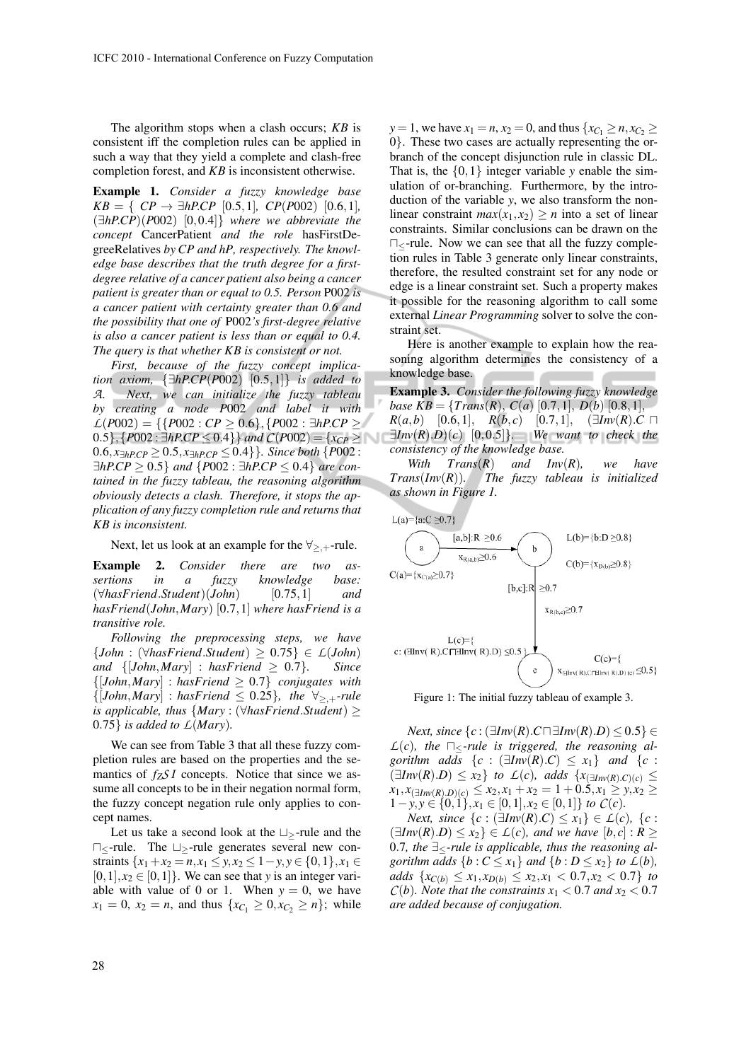The algorithm stops when a clash occurs; *KB* is consistent iff the completion rules can be applied in such a way that they yield a complete and clash-free completion forest, and *KB* is inconsistent otherwise.

Example 1. *Consider a fuzzy knowledge base*  $KB = \{ CP \rightarrow \exists hPCP \ [0.5, 1], \ CP(P002) \ [0.6, 1], \}$ (∃*hP*.*CP*)(*P*002) [0,0.4]} *where we abbreviate the concept* CancerPatient *and the role* hasFirstDegreeRelatives *by CP and hP, respectively. The knowledge base describes that the truth degree for a firstdegree relative of a cancer patient also being a cancer patient is greater than or equal to 0.5. Person* P002 *is a cancer patient with certainty greater than 0.6 and the possibility that one of* P002*'s first-degree relative is also a cancer patient is less than or equal to 0.4. The query is that whether KB is consistent or not.*

*First, because of the fuzzy concept implication axiom,* {∃*hP*.*CP*(*P*002) [0.5,1]} *is added to A. Next, we can initialize the fuzzy tableau by creating a node P*002 *and label it with*  $L(P002) = \{ \{P002 : CP > 0.6 \}, \{P002 : \exists hP.CP > 0.6 \} \}$ 0.5},  ${P002 : \exists hPCP \le 0.4}$  *and*  $C(P002) = {x_{CP} >$ 0.6,  $x\exists_{hPCP}$  ≥ 0.5,  $x\exists_{hPCP}$  ≤ 0.4}*}. Since both* {*P*002 : ∃*hP*.*CP* ≥ 0.5} *and* {*P*002 : ∃*hP*.*CP* ≤ 0.4} *are contained in the fuzzy tableau, the reasoning algorithm obviously detects a clash. Therefore, it stops the application of any fuzzy completion rule and returns that KB is inconsistent.*

Next, let us look at an example for the  $\forall_{\geq, +}$ -rule.

Example 2. *Consider there are two assertions in a fuzzy knowledge base:* (∀*hasFriend*.*Student*)(*John*) [0.75,1] *and hasFriend*(*John*,*Mary*) [0.7,1] *where hasFriend is a transitive role.*

*Following the preprocessing steps, we have*  ${John : (\forall has Friend.Student) \geq 0.75} \in L(John)$ *and*  $\{[John, Mary] : hasfriend \ge 0.7\}$ *. Since*  ${[John, Mary] : has Friend \geq 0.7}$  *conjugates with*  ${[John, Mary] : has Friend \leq 0.25}$ *, the*  $\forall_{\geq +}$ *-rule is applicable, thus* {*Mary* : (∀*hasFriend*.*Student*) ≥  $0.75$ } *is added to*  $L(Mary)$ *.* 

We can see from Table 3 that all these fuzzy completion rules are based on the properties and the semantics of  $f_Z S I$  concepts. Notice that since we assume all concepts to be in their negation normal form, the fuzzy concept negation rule only applies to concept names.

Let us take a second look at the  $\sqcup$ -rule and the u≤-rule. The t≥-rule generates several new constraints  $\{x_1+x_2=n, x_1\leq y, x_2\leq 1-y, y\in\{0,1\}, x_1\in$  $[0,1], x_2 \in [0,1]$ . We can see that *y* is an integer variable with value of 0 or 1. When  $y = 0$ , we have  $x_1 = 0$ ,  $x_2 = n$ , and thus  $\{x_{C_1} \geq 0, x_{C_2} \geq n\}$ ; while *y* = 1, we have  $x_1 = n$ ,  $x_2 = 0$ , and thus  $\{x_{C_1} \ge n, x_{C_2} \ge n\}$ 0}. These two cases are actually representing the orbranch of the concept disjunction rule in classic DL. That is, the  $\{0,1\}$  integer variable *y* enable the simulation of or-branching. Furthermore, by the introduction of the variable *y*, we also transform the nonlinear constraint  $max(x_1, x_2) > n$  into a set of linear constraints. Similar conclusions can be drawn on the  $\Box$ -rule. Now we can see that all the fuzzy completion rules in Table 3 generate only linear constraints, therefore, the resulted constraint set for any node or edge is a linear constraint set. Such a property makes it possible for the reasoning algorithm to call some external *Linear Programming* solver to solve the constraint set.

Here is another example to explain how the reasoning algorithm determines the consistency of a knowledge base.

Example 3. *Consider the following fuzzy knowledge base*  $KB = \{Trans(R), C(a) [0.7, 1], D(b) [0.8, 1],$ *R*(*a*,*b*) [0.6,1], *R*(*b*,*c*) [0.7,1], (∃*Inv*(*R*).*C* □  $\exists Inv(R).D)(c)$  [0,0.5]}*. We want to check the consistency of the knowledge base.*

*With Trans*(*R*) *and Inv*(*R*)*, we have Trans*(*Inv*(*R*))*. The fuzzy tableau is initialized as shown in Figure 1.*



Figure 1: The initial fuzzy tableau of example 3.

*Next, since*  $\{c : (\exists Inv(R).C \sqcap \exists Inv(R).D) \le 0.5\}$  ∈  $L(c)$ , the  $\Box$ -rule is triggered, the reasoning al*gorithm adds*  $\{c : (\exists Inv(R).C) \le x_1\}$  *and*  $\{c :$ (∃*Inv*(*R*).*D*) ≤ *x*2} *to L*(*c*)*, adds* {*x*(∃*Inv*(*R*).*C*)(*c*) ≤ *x*<sub>1</sub>*, x*<sub>(∃*Inv*(*R*)*.D*)(*c*) ≤ *x*<sub>2</sub>*,x*<sub>1</sub> + *x*<sub>2</sub> = 1 + 0.5*,x*<sub>1</sub> ≥ *y,x*<sub>2</sub> ≥</sub> 1−*y*, *y* ∈ {0,1}, *x*<sup>1</sup> ∈ [0,1], *x*<sup>2</sup> ∈ [0,1]} *to C*(*c*)*.*

*Next, since*  $\{c : (\exists Inv(R).C) \le x_1\} \in L(c), \{c :$  $(\exists Inv(R).D) \leq x_2$   $\in L(c)$ , and we have  $[b, c] : R \geq$ 0.7, the ∃<*-rule is applicable, thus the reasoning algorithm adds*  $\{b : C \leq x_1\}$  *and*  $\{b : D \leq x_2\}$  *to*  $L(b)$ *, adds*  $\{x_{C(b)} \le x_1, x_{D(b)} \le x_2, x_1 < 0.7, x_2 < 0.7\}$  *to C*(*b*)*. Note that the constraints*  $x_1 < 0.7$  *and*  $x_2 < 0.7$ *are added because of conjugation.*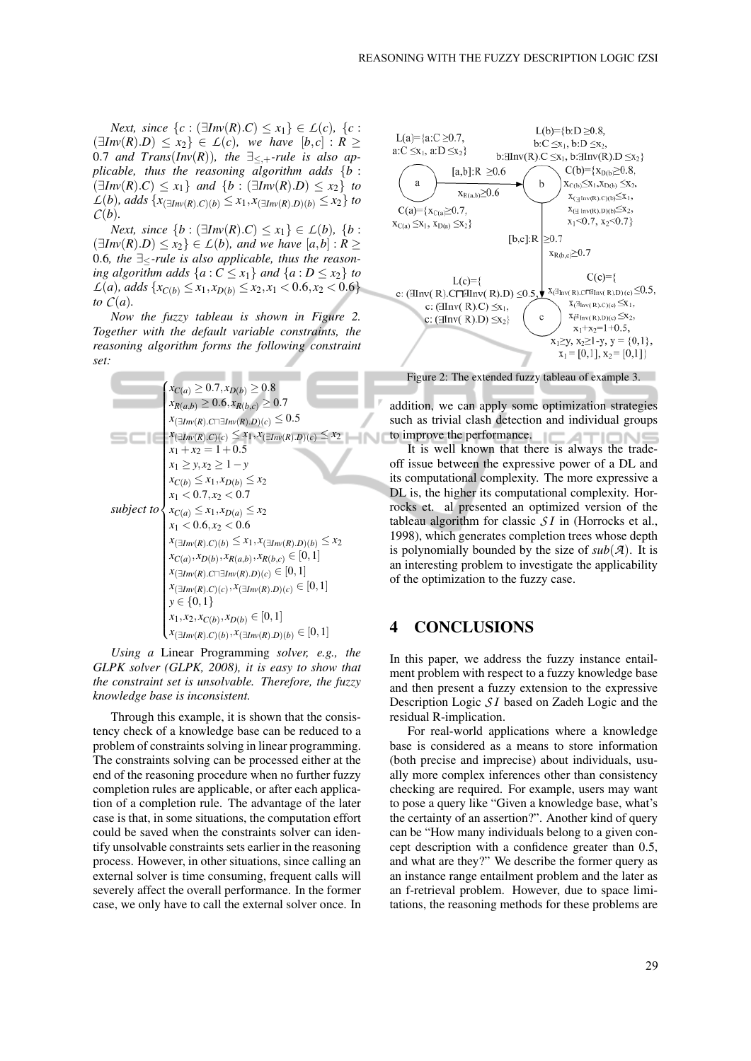*Next, since*  $\{c : (\exists Inv(R).C) \le x_1\} \in L(c)$ ,  $\{c :$  $\exists Inv(R).D) \leq x_2$   $\in L(c)$ *, we have*  $[b, c] : R \geq$ 0.7 *and Trans*( $Inv(R)$ ), the  $\exists_{\leq, +}$ -rule is also ap*plicable, thus the reasoning algorithm adds* {*b* : (∃*Inv*(*R*).*C*) ≤ *x*1} *and* {*b* : (∃*Inv*(*R*).*D*) ≤ *x*2} *to L*(*b*)*, adds* {*x*<sub>(∃*Inv*(*R*).*C*)(*b*) ≤ *x*<sub>1</sub>, *x*<sub>(∃*Inv*(*R*).*D*)(*b*) ≤ *x*<sub>2</sub>} *to*</sub></sub>  $C(b)$ .

*Next, since*  ${b : \exists Inv(R).C} ≤ x_1} ∈ L(b), {b : \exists Inv(R).C}$  $(\exists Inv(R).D) \leq x_2$   $\in L(b)$ *, and we have*  $[a,b] : R \geq$ 0.6*, the* ∃≤*-rule is also applicable, thus the reasoning algorithm adds*  $\{a : C \leq x_1\}$  *and*  $\{a : D \leq x_2\}$  *to*  $L(a)$ *, adds*  $\{x_{C(b)} \le x_1, x_{D(b)} \le x_2, x_1 < 0.6, x_2 < 0.6\}$ *to*  $C(a)$ *.* 

*Now the fuzzy tableau is shown in Figure 2. Together with the default variable constraints, the reasoning algorithm forms the following constraint set:*

| $x_{C(a)} \geq 0.7, x_{D(b)} \geq 0.8$                                   |
|--------------------------------------------------------------------------|
| $x_{R(a,b)} \geq 0.6, x_{R(b,c)} \geq 0.7$                               |
| $x_{(\exists Inv(R).C \sqcap \exists Inv(R).D)(c)} \leq 0.5$             |
| $x_{(\exists Inv(R).C)(c)} \leq x_1, x_{(\exists Inv(R).D)(c)} \leq x_2$ |
| $x_1 + x_2 = 1 + 0.5$                                                    |
| $x_1 > y, x_2 > 1 - y$                                                   |
| $x_{C(b)} \leq x_1, x_{D(b)} \leq x_2$                                   |
| $x_1 < 0.7, x_2 < 0.7$                                                   |
| subject to $\{x_{C(a)} \leq x_1, x_{D(a)} \leq x_2\}$                    |
| $x_1 < 0.6, x_2 < 0.6$                                                   |
| $x_{(\exists Inv(R), C)(b)} \le x_1, x_{(\exists Inv(R), D)(b)} \le x_2$ |
| $x_{C(a)}, x_{D(b)}, x_{R(a,b)}, x_{R(b,c)} \in [0,1]$                   |
| $x_{(\exists Inv(R).C \sqcap \exists Inv(R).D)(c)} \in [0,1]$            |
| $x_{(\exists Inv(R).C)(c)}, x_{(\exists Inv(R).D)(c)} \in [0,1]$         |
| $y \in \{0, 1\}$                                                         |
| $x_1, x_2, x_{C(b)}, x_{D(b)} \in [0,1]$                                 |
| $x_{(\exists Inv(R).C)(b)}, x_{(\exists Inv(R).D)(b)} \in [0,1]$         |

*Using a* Linear Programming *solver, e.g., the GLPK solver (GLPK, 2008), it is easy to show that the constraint set is unsolvable. Therefore, the fuzzy knowledge base is inconsistent.*

Through this example, it is shown that the consistency check of a knowledge base can be reduced to a problem of constraints solving in linear programming. The constraints solving can be processed either at the end of the reasoning procedure when no further fuzzy completion rules are applicable, or after each application of a completion rule. The advantage of the later case is that, in some situations, the computation effort could be saved when the constraints solver can identify unsolvable constraints sets earlier in the reasoning process. However, in other situations, since calling an external solver is time consuming, frequent calls will severely affect the overall performance. In the former case, we only have to call the external solver once. In



addition, we can apply some optimization strategies such as trivial clash detection and individual groups to improve the performance.

It is well known that there is always the tradeoff issue between the expressive power of a DL and its computational complexity. The more expressive a DL is, the higher its computational complexity. Horrocks et. al presented an optimized version of the tableau algorithm for classic *S I* in (Horrocks et al., 1998), which generates completion trees whose depth is polynomially bounded by the size of  $sub(A)$ . It is an interesting problem to investigate the applicability of the optimization to the fuzzy case.

### 4 CONCLUSIONS

In this paper, we address the fuzzy instance entailment problem with respect to a fuzzy knowledge base and then present a fuzzy extension to the expressive Description Logic *S I* based on Zadeh Logic and the residual R-implication.

For real-world applications where a knowledge base is considered as a means to store information (both precise and imprecise) about individuals, usually more complex inferences other than consistency checking are required. For example, users may want to pose a query like "Given a knowledge base, what's the certainty of an assertion?". Another kind of query can be "How many individuals belong to a given concept description with a confidence greater than 0.5, and what are they?" We describe the former query as an instance range entailment problem and the later as an f-retrieval problem. However, due to space limitations, the reasoning methods for these problems are